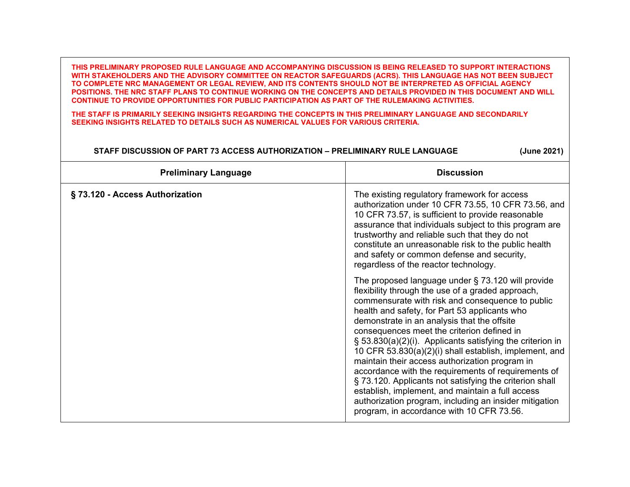**THIS PRELIMINARY PROPOSED RULE LANGUAGE AND ACCOMPANYING DISCUSSION IS BEING RELEASED TO SUPPORT INTERACTIONS WITH STAKEHOLDERS AND THE ADVISORY COMMITTEE ON REACTOR SAFEGUARDS (ACRS). THIS LANGUAGE HAS NOT BEEN SUBJECT TO COMPLETE NRC MANAGEMENT OR LEGAL REVIEW, AND ITS CONTENTS SHOULD NOT BE INTERPRETED AS OFFICIAL AGENCY POSITIONS. THE NRC STAFF PLANS TO CONTINUE WORKING ON THE CONCEPTS AND DETAILS PROVIDED IN THIS DOCUMENT AND WILL CONTINUE TO PROVIDE OPPORTUNITIES FOR PUBLIC PARTICIPATION AS PART OF THE RULEMAKING ACTIVITIES.**

**THE STAFF IS PRIMARILY SEEKING INSIGHTS REGARDING THE CONCEPTS IN THIS PRELIMINARY LANGUAGE AND SECONDARILY SEEKING INSIGHTS RELATED TO DETAILS SUCH AS NUMERICAL VALUES FOR VARIOUS CRITERIA.** 

## **STAFF DISCUSSION OF PART 73 ACCESS AUTHORIZATION – PRELIMINARY RULE LANGUAGE (June 2021)**

| <b>Preliminary Language</b>    | <b>Discussion</b>                                                                                                                                                                                                                                                                                                                                                                                                                                                                                                                                                                                                                                                                                                                                                    |
|--------------------------------|----------------------------------------------------------------------------------------------------------------------------------------------------------------------------------------------------------------------------------------------------------------------------------------------------------------------------------------------------------------------------------------------------------------------------------------------------------------------------------------------------------------------------------------------------------------------------------------------------------------------------------------------------------------------------------------------------------------------------------------------------------------------|
| §73.120 - Access Authorization | The existing regulatory framework for access<br>authorization under 10 CFR 73.55, 10 CFR 73.56, and<br>10 CFR 73.57, is sufficient to provide reasonable<br>assurance that individuals subject to this program are<br>trustworthy and reliable such that they do not<br>constitute an unreasonable risk to the public health<br>and safety or common defense and security,<br>regardless of the reactor technology.                                                                                                                                                                                                                                                                                                                                                  |
|                                | The proposed language under $\S$ 73.120 will provide<br>flexibility through the use of a graded approach,<br>commensurate with risk and consequence to public<br>health and safety, for Part 53 applicants who<br>demonstrate in an analysis that the offsite<br>consequences meet the criterion defined in<br>$\S$ 53.830(a)(2)(i). Applicants satisfying the criterion in<br>10 CFR 53.830(a)(2)(i) shall establish, implement, and<br>maintain their access authorization program in<br>accordance with the requirements of requirements of<br>§ 73.120. Applicants not satisfying the criterion shall<br>establish, implement, and maintain a full access<br>authorization program, including an insider mitigation<br>program, in accordance with 10 CFR 73.56. |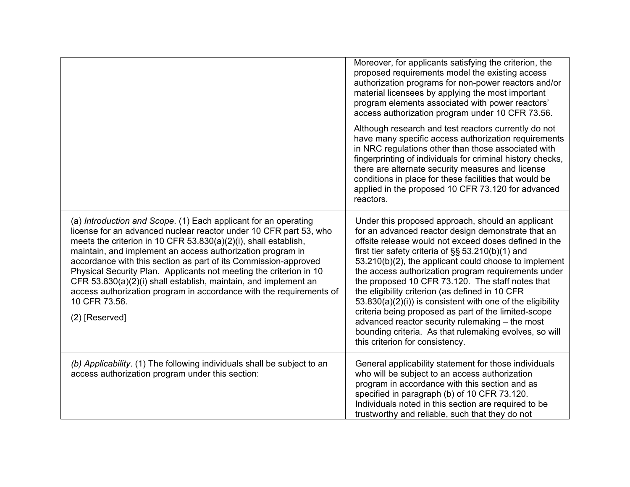|                                                                                                                                                                                                                                                                                                                                                                                                                                                                                                                                                                                             | Moreover, for applicants satisfying the criterion, the<br>proposed requirements model the existing access<br>authorization programs for non-power reactors and/or<br>material licensees by applying the most important<br>program elements associated with power reactors'<br>access authorization program under 10 CFR 73.56.                                                                                                                                                                                                                                                                                                                                                                                      |
|---------------------------------------------------------------------------------------------------------------------------------------------------------------------------------------------------------------------------------------------------------------------------------------------------------------------------------------------------------------------------------------------------------------------------------------------------------------------------------------------------------------------------------------------------------------------------------------------|---------------------------------------------------------------------------------------------------------------------------------------------------------------------------------------------------------------------------------------------------------------------------------------------------------------------------------------------------------------------------------------------------------------------------------------------------------------------------------------------------------------------------------------------------------------------------------------------------------------------------------------------------------------------------------------------------------------------|
|                                                                                                                                                                                                                                                                                                                                                                                                                                                                                                                                                                                             | Although research and test reactors currently do not<br>have many specific access authorization requirements<br>in NRC regulations other than those associated with<br>fingerprinting of individuals for criminal history checks,<br>there are alternate security measures and license<br>conditions in place for these facilities that would be<br>applied in the proposed 10 CFR 73.120 for advanced<br>reactors.                                                                                                                                                                                                                                                                                                 |
| (a) Introduction and Scope. (1) Each applicant for an operating<br>license for an advanced nuclear reactor under 10 CFR part 53, who<br>meets the criterion in 10 CFR 53.830(a)(2)(i), shall establish,<br>maintain, and implement an access authorization program in<br>accordance with this section as part of its Commission-approved<br>Physical Security Plan. Applicants not meeting the criterion in 10<br>CFR 53.830(a)(2)(i) shall establish, maintain, and implement an<br>access authorization program in accordance with the requirements of<br>10 CFR 73.56.<br>(2) [Reserved] | Under this proposed approach, should an applicant<br>for an advanced reactor design demonstrate that an<br>offsite release would not exceed doses defined in the<br>first tier safety criteria of §§ 53.210(b)(1) and<br>53.210(b)(2), the applicant could choose to implement<br>the access authorization program requirements under<br>the proposed 10 CFR 73.120. The staff notes that<br>the eligibility criterion (as defined in 10 CFR<br>$53.830(a)(2)(i)$ is consistent with one of the eligibility<br>criteria being proposed as part of the limited-scope<br>advanced reactor security rulemaking - the most<br>bounding criteria. As that rulemaking evolves, so will<br>this criterion for consistency. |
| (b) Applicability. (1) The following individuals shall be subject to an<br>access authorization program under this section:                                                                                                                                                                                                                                                                                                                                                                                                                                                                 | General applicability statement for those individuals<br>who will be subject to an access authorization<br>program in accordance with this section and as<br>specified in paragraph (b) of 10 CFR 73.120.<br>Individuals noted in this section are required to be<br>trustworthy and reliable, such that they do not                                                                                                                                                                                                                                                                                                                                                                                                |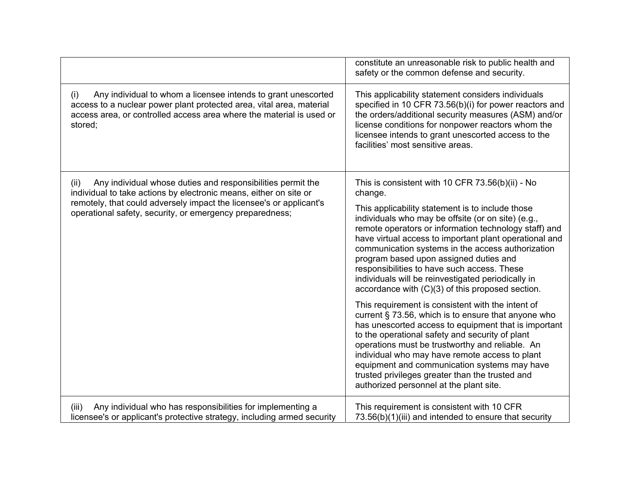|                                                                                                                                                                                                                                                                             | constitute an unreasonable risk to public health and<br>safety or the common defense and security.                                                                                                                                                                                                                                                                                                                                                                                |
|-----------------------------------------------------------------------------------------------------------------------------------------------------------------------------------------------------------------------------------------------------------------------------|-----------------------------------------------------------------------------------------------------------------------------------------------------------------------------------------------------------------------------------------------------------------------------------------------------------------------------------------------------------------------------------------------------------------------------------------------------------------------------------|
| Any individual to whom a licensee intends to grant unescorted<br>(i)<br>access to a nuclear power plant protected area, vital area, material<br>access area, or controlled access area where the material is used or<br>stored;                                             | This applicability statement considers individuals<br>specified in 10 CFR 73.56(b)(i) for power reactors and<br>the orders/additional security measures (ASM) and/or<br>license conditions for nonpower reactors whom the<br>licensee intends to grant unescorted access to the<br>facilities' most sensitive areas.                                                                                                                                                              |
| Any individual whose duties and responsibilities permit the<br>(ii)<br>individual to take actions by electronic means, either on site or<br>remotely, that could adversely impact the licensee's or applicant's<br>operational safety, security, or emergency preparedness; | This is consistent with 10 CFR 73.56(b)(ii) - No<br>change.                                                                                                                                                                                                                                                                                                                                                                                                                       |
|                                                                                                                                                                                                                                                                             | This applicability statement is to include those<br>individuals who may be offsite (or on site) (e.g.,<br>remote operators or information technology staff) and<br>have virtual access to important plant operational and<br>communication systems in the access authorization<br>program based upon assigned duties and<br>responsibilities to have such access. These<br>individuals will be reinvestigated periodically in<br>accordance with (C)(3) of this proposed section. |
|                                                                                                                                                                                                                                                                             | This requirement is consistent with the intent of<br>current § 73.56, which is to ensure that anyone who<br>has unescorted access to equipment that is important<br>to the operational safety and security of plant<br>operations must be trustworthy and reliable. An<br>individual who may have remote access to plant<br>equipment and communication systems may have<br>trusted privileges greater than the trusted and<br>authorized personnel at the plant site.            |
| Any individual who has responsibilities for implementing a<br>(iii)<br>licensee's or applicant's protective strategy, including armed security                                                                                                                              | This requirement is consistent with 10 CFR<br>73.56(b)(1)(iii) and intended to ensure that security                                                                                                                                                                                                                                                                                                                                                                               |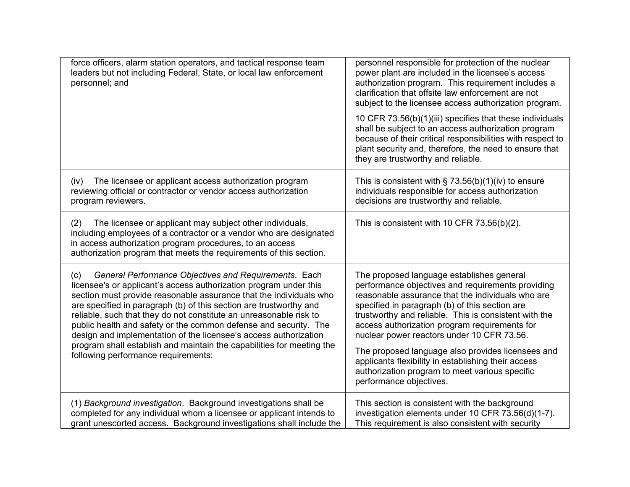| force officers, alarm station operators, and tactical response team<br>leaders but not including Federal, State, or local law enforcement<br>personnel; and                                                                                                                                                                                                                                                                                                                                                                                                                                                 | personnel responsible for protection of the nuclear<br>power plant are included in the licensee's access<br>authorization program. This requirement includes a<br>clarification that offsite law enforcement are not<br>subject to the licensee access authorization program.                                                                                                                                                                                                                                                                          |
|-------------------------------------------------------------------------------------------------------------------------------------------------------------------------------------------------------------------------------------------------------------------------------------------------------------------------------------------------------------------------------------------------------------------------------------------------------------------------------------------------------------------------------------------------------------------------------------------------------------|--------------------------------------------------------------------------------------------------------------------------------------------------------------------------------------------------------------------------------------------------------------------------------------------------------------------------------------------------------------------------------------------------------------------------------------------------------------------------------------------------------------------------------------------------------|
|                                                                                                                                                                                                                                                                                                                                                                                                                                                                                                                                                                                                             | 10 CFR 73.56(b)(1)(iii) specifies that these individuals<br>shall be subject to an access authorization program<br>because of their critical responsibilities with respect to<br>plant security and, therefore, the need to ensure that<br>they are trustworthy and reliable.                                                                                                                                                                                                                                                                          |
| The licensee or applicant access authorization program<br>(iv)<br>reviewing official or contractor or vendor access authorization<br>program reviewers.                                                                                                                                                                                                                                                                                                                                                                                                                                                     | This is consistent with $\S$ 73.56(b)(1)(iv) to ensure<br>individuals responsible for access authorization<br>decisions are trustworthy and reliable.                                                                                                                                                                                                                                                                                                                                                                                                  |
| (2)<br>The licensee or applicant may subject other individuals,<br>including employees of a contractor or a vendor who are designated<br>in access authorization program procedures, to an access<br>authorization program that meets the requirements of this section.                                                                                                                                                                                                                                                                                                                                     | This is consistent with 10 CFR 73.56(b)(2).                                                                                                                                                                                                                                                                                                                                                                                                                                                                                                            |
| General Performance Objectives and Requirements. Each<br>(c)<br>licensee's or applicant's access authorization program under this<br>section must provide reasonable assurance that the individuals who<br>are specified in paragraph (b) of this section are trustworthy and<br>reliable, such that they do not constitute an unreasonable risk to<br>public health and safety or the common defense and security. The<br>design and implementation of the licensee's access authorization<br>program shall establish and maintain the capabilities for meeting the<br>following performance requirements: | The proposed language establishes general<br>performance objectives and requirements providing<br>reasonable assurance that the individuals who are<br>specified in paragraph (b) of this section are<br>trustworthy and reliable. This is consistent with the<br>access authorization program requirements for<br>nuclear power reactors under 10 CFR 73.56.<br>The proposed language also provides licensees and<br>applicants flexibility in establishing their access<br>authorization program to meet various specific<br>performance objectives. |
| (1) Background investigation. Background investigations shall be<br>completed for any individual whom a licensee or applicant intends to<br>grant unescorted access. Background investigations shall include the                                                                                                                                                                                                                                                                                                                                                                                            | This section is consistent with the background<br>investigation elements under 10 CFR 73.56(d)(1-7).<br>This requirement is also consistent with security                                                                                                                                                                                                                                                                                                                                                                                              |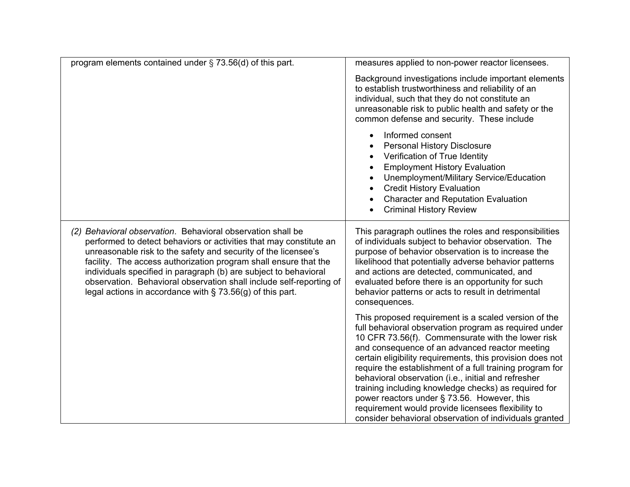| program elements contained under $\S$ 73.56(d) of this part.                                                                                                                                                                                                                                                                                                                                                                                                                       | measures applied to non-power reactor licensees.                                                                                                                                                                                                                                                                                                                                                                                                                                                                                                                                                                            |
|------------------------------------------------------------------------------------------------------------------------------------------------------------------------------------------------------------------------------------------------------------------------------------------------------------------------------------------------------------------------------------------------------------------------------------------------------------------------------------|-----------------------------------------------------------------------------------------------------------------------------------------------------------------------------------------------------------------------------------------------------------------------------------------------------------------------------------------------------------------------------------------------------------------------------------------------------------------------------------------------------------------------------------------------------------------------------------------------------------------------------|
|                                                                                                                                                                                                                                                                                                                                                                                                                                                                                    | Background investigations include important elements<br>to establish trustworthiness and reliability of an<br>individual, such that they do not constitute an<br>unreasonable risk to public health and safety or the<br>common defense and security. These include                                                                                                                                                                                                                                                                                                                                                         |
|                                                                                                                                                                                                                                                                                                                                                                                                                                                                                    | Informed consent<br>$\bullet$<br><b>Personal History Disclosure</b><br>$\bullet$<br>Verification of True Identity<br>$\bullet$<br><b>Employment History Evaluation</b><br>$\bullet$<br>Unemployment/Military Service/Education<br>$\bullet$<br><b>Credit History Evaluation</b><br><b>Character and Reputation Evaluation</b><br>$\bullet$<br><b>Criminal History Review</b>                                                                                                                                                                                                                                                |
| (2) Behavioral observation. Behavioral observation shall be<br>performed to detect behaviors or activities that may constitute an<br>unreasonable risk to the safety and security of the licensee's<br>facility. The access authorization program shall ensure that the<br>individuals specified in paragraph (b) are subject to behavioral<br>observation. Behavioral observation shall include self-reporting of<br>legal actions in accordance with $\S$ 73.56(g) of this part. | This paragraph outlines the roles and responsibilities<br>of individuals subject to behavior observation. The<br>purpose of behavior observation is to increase the<br>likelihood that potentially adverse behavior patterns<br>and actions are detected, communicated, and<br>evaluated before there is an opportunity for such<br>behavior patterns or acts to result in detrimental<br>consequences.                                                                                                                                                                                                                     |
|                                                                                                                                                                                                                                                                                                                                                                                                                                                                                    | This proposed requirement is a scaled version of the<br>full behavioral observation program as required under<br>10 CFR 73.56(f). Commensurate with the lower risk<br>and consequence of an advanced reactor meeting<br>certain eligibility requirements, this provision does not<br>require the establishment of a full training program for<br>behavioral observation (i.e., initial and refresher<br>training including knowledge checks) as required for<br>power reactors under § 73.56. However, this<br>requirement would provide licensees flexibility to<br>consider behavioral observation of individuals granted |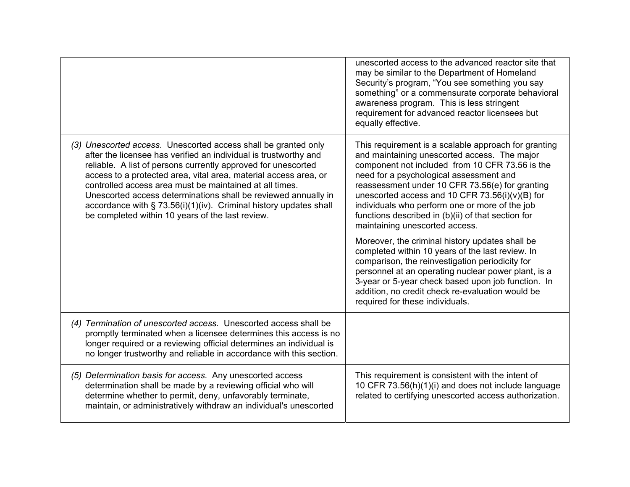|                                                                                                                                                                                                                                                                                                                                                                                                                                                                                                                                  | unescorted access to the advanced reactor site that<br>may be similar to the Department of Homeland<br>Security's program, "You see something you say<br>something" or a commensurate corporate behavioral<br>awareness program. This is less stringent<br>requirement for advanced reactor licensees but<br>equally effective.                                                                                                                    |
|----------------------------------------------------------------------------------------------------------------------------------------------------------------------------------------------------------------------------------------------------------------------------------------------------------------------------------------------------------------------------------------------------------------------------------------------------------------------------------------------------------------------------------|----------------------------------------------------------------------------------------------------------------------------------------------------------------------------------------------------------------------------------------------------------------------------------------------------------------------------------------------------------------------------------------------------------------------------------------------------|
| (3) Unescorted access. Unescorted access shall be granted only<br>after the licensee has verified an individual is trustworthy and<br>reliable. A list of persons currently approved for unescorted<br>access to a protected area, vital area, material access area, or<br>controlled access area must be maintained at all times.<br>Unescorted access determinations shall be reviewed annually in<br>accordance with $\S$ 73.56(i)(1)(iv). Criminal history updates shall<br>be completed within 10 years of the last review. | This requirement is a scalable approach for granting<br>and maintaining unescorted access. The major<br>component not included from 10 CFR 73.56 is the<br>need for a psychological assessment and<br>reassessment under 10 CFR 73.56(e) for granting<br>unescorted access and 10 CFR 73.56(i)(v)(B) for<br>individuals who perform one or more of the job<br>functions described in (b)(ii) of that section for<br>maintaining unescorted access. |
|                                                                                                                                                                                                                                                                                                                                                                                                                                                                                                                                  | Moreover, the criminal history updates shall be<br>completed within 10 years of the last review. In<br>comparison, the reinvestigation periodicity for<br>personnel at an operating nuclear power plant, is a<br>3-year or 5-year check based upon job function. In<br>addition, no credit check re-evaluation would be<br>required for these individuals.                                                                                         |
| (4) Termination of unescorted access. Unescorted access shall be<br>promptly terminated when a licensee determines this access is no<br>longer required or a reviewing official determines an individual is<br>no longer trustworthy and reliable in accordance with this section.                                                                                                                                                                                                                                               |                                                                                                                                                                                                                                                                                                                                                                                                                                                    |
| (5) Determination basis for access. Any unescorted access<br>determination shall be made by a reviewing official who will<br>determine whether to permit, deny, unfavorably terminate,<br>maintain, or administratively withdraw an individual's unescorted                                                                                                                                                                                                                                                                      | This requirement is consistent with the intent of<br>10 CFR 73.56(h)(1)(i) and does not include language<br>related to certifying unescorted access authorization.                                                                                                                                                                                                                                                                                 |